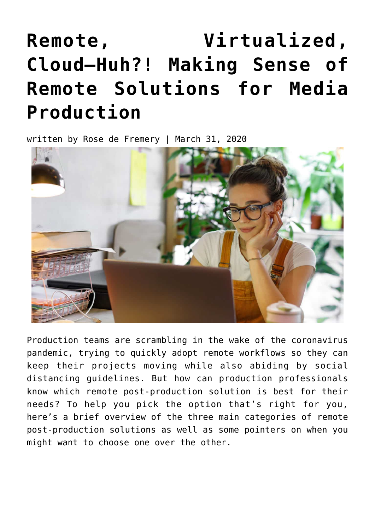# **[Remote, Virtualized,](https://www.avidblogs.com/making-sense-of-remote-solutions-for-media-production/) [Cloud—Huh?! Making Sense of](https://www.avidblogs.com/making-sense-of-remote-solutions-for-media-production/) [Remote Solutions for Media](https://www.avidblogs.com/making-sense-of-remote-solutions-for-media-production/) [Production](https://www.avidblogs.com/making-sense-of-remote-solutions-for-media-production/)**

written by Rose de Fremery | March 31, 2020



Production teams are scrambling in the wake of the coronavirus pandemic, trying to quickly adopt remote workflows so they can keep their projects moving while also abiding by social distancing guidelines. But how can production professionals know which remote post-production solution is best for their needs? To help you pick the option that's right for you, here's a brief overview of the three main categories of remote post-production solutions as well as some pointers on when you might want to choose one over the other.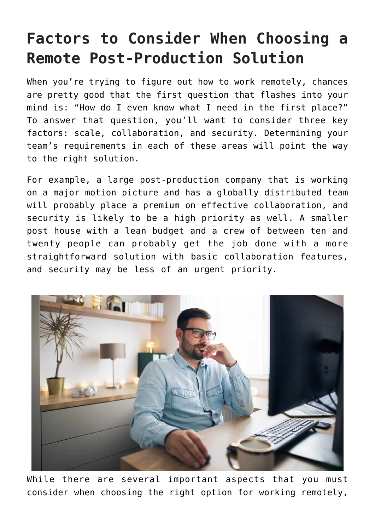### **Factors to Consider When Choosing a Remote Post-Production Solution**

When you're trying to figure out how to work remotely, chances are pretty good that the first question that flashes into your mind is: "How do I even know what I need in the first place?" To answer that question, you'll want to consider three key factors: scale, collaboration, and security. Determining your team's requirements in each of these areas will point the way to the right solution.

For example, a large post-production company that is working on a major motion picture and has a globally distributed team will probably place a premium on effective collaboration, and security is likely to be a high priority as well. A smaller post house with a lean budget and a crew of between ten and twenty people can probably get the job done with a more straightforward solution with basic collaboration features, and security may be less of an urgent priority.



While there are several important aspects that you must consider when choosing the right option for working remotely,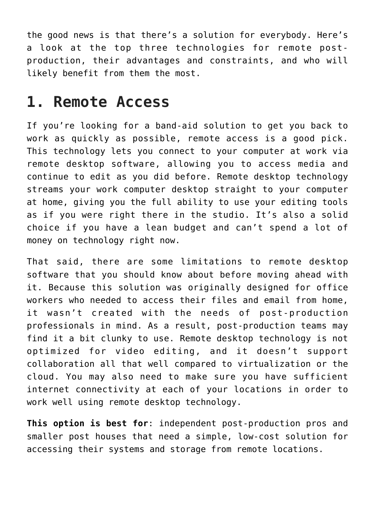the good news is that there's a solution for everybody. Here's a look at the top three technologies for remote postproduction, their advantages and constraints, and who will likely benefit from them the most.

#### **1. Remote Access**

If you're looking for a band-aid solution to get you back to work as quickly as possible, remote access is a good pick. This technology lets you connect to your computer at work via remote desktop software, allowing you to access media and continue to edit as you did before. Remote desktop technology streams your work computer desktop straight to your computer at home, giving you the full ability to use your editing tools as if you were right there in the studio. It's also a solid choice if you have a lean budget and can't spend a lot of money on technology right now.

That said, there are some limitations to remote desktop software that you should know about before moving ahead with it. Because this solution was originally designed for office workers who needed to access their files and email from home, it wasn't created with the needs of post-production professionals in mind. As a result, post-production teams may find it a bit clunky to use. Remote desktop technology is not optimized for video editing, and it doesn't support collaboration all that well compared to virtualization or the cloud. You may also need to make sure you have sufficient internet connectivity at each of your locations in order to work well using remote desktop technology.

**This option is best for**: independent post-production pros and smaller post houses that need a simple, low-cost solution for accessing their systems and storage from remote locations.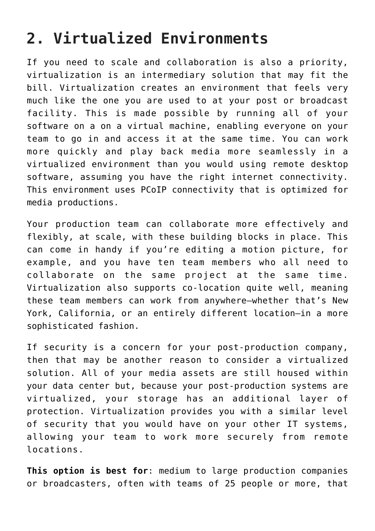### **2. Virtualized Environments**

If you need to scale and collaboration is also a priority, virtualization is an intermediary solution that may fit the bill. Virtualization creates an environment that feels very much like the one you are used to at your post or broadcast facility. This is made possible by running all of your software on a on a virtual machine, enabling everyone on your team to go in and access it at the same time. You can work more quickly and play back media more seamlessly in a virtualized environment than you would using remote desktop software, assuming you have the right internet connectivity. This environment uses PCoIP connectivity that is optimized for media productions.

Your production team can collaborate more effectively and flexibly, at scale, with these building blocks in place. This can come in handy if you're editing a motion picture, for example, and you have ten team members who all need to collaborate on the same project at the same time. Virtualization also supports co-location quite well, meaning these team members can work from anywhere—whether that's New York, California, or an entirely different location—in a more sophisticated fashion.

If security is a concern for your post-production company, then that may be another reason to consider a virtualized solution. All of your media assets are still housed within your data center but, because your post-production systems are virtualized, your storage has an additional layer of protection. Virtualization provides you with a similar level of security that you would have on your other IT systems, allowing your team to work more securely from remote locations.

**This option is best for**: medium to large production companies or broadcasters, often with teams of 25 people or more, that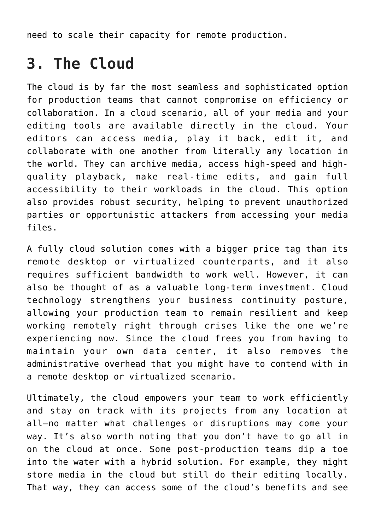need to scale their capacity for remote production.

#### **3. The Cloud**

The cloud is by far the most seamless and sophisticated option for production teams that cannot compromise on efficiency or collaboration. In a cloud scenario, all of your media and your editing tools are available directly in the cloud. Your editors can access media, play it back, edit it, and collaborate with one another from literally any location in the world. They can archive media, access high-speed and highquality playback, make real-time edits, and gain full accessibility to their workloads in the cloud. This option also provides robust security, helping to prevent unauthorized parties or opportunistic attackers from accessing your media files.

A fully cloud solution comes with a bigger price tag than its remote desktop or virtualized counterparts, and it also requires sufficient bandwidth to work well. However, it can also be thought of as a valuable long-term investment. Cloud technology strengthens your business continuity posture, allowing your production team to remain resilient and keep working remotely right through crises like the one we're experiencing now. Since the cloud frees you from having to maintain your own data center, it also removes the administrative overhead that you might have to contend with in a remote desktop or virtualized scenario.

Ultimately, the cloud empowers your team to work efficiently and stay on track with its projects from any location at all—no matter what challenges or disruptions may come your way. It's also worth noting that you don't have to go all in on the cloud at once. Some post-production teams dip a toe into the water with a hybrid solution. For example, they might store media in the cloud but still do their editing locally. That way, they can access some of the cloud's benefits and see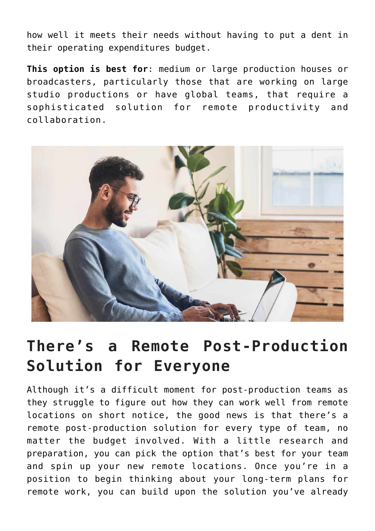how well it meets their needs without having to put a dent in their operating expenditures budget.

**This option is best for**: medium or large production houses or broadcasters, particularly those that are working on large studio productions or have global teams, that require a sophisticated solution for remote productivity and collaboration.



#### **There's a Remote Post-Production Solution for Everyone**

Although it's a difficult moment for post-production teams as they struggle to figure out how they can work well from remote locations on short notice, the good news is that there's a remote post-production solution for every type of team, no matter the budget involved. With a little research and preparation, you can pick the option that's best for your team and spin up your new remote locations. Once you're in a position to begin thinking about your long-term plans for remote work, you can build upon the solution you've already